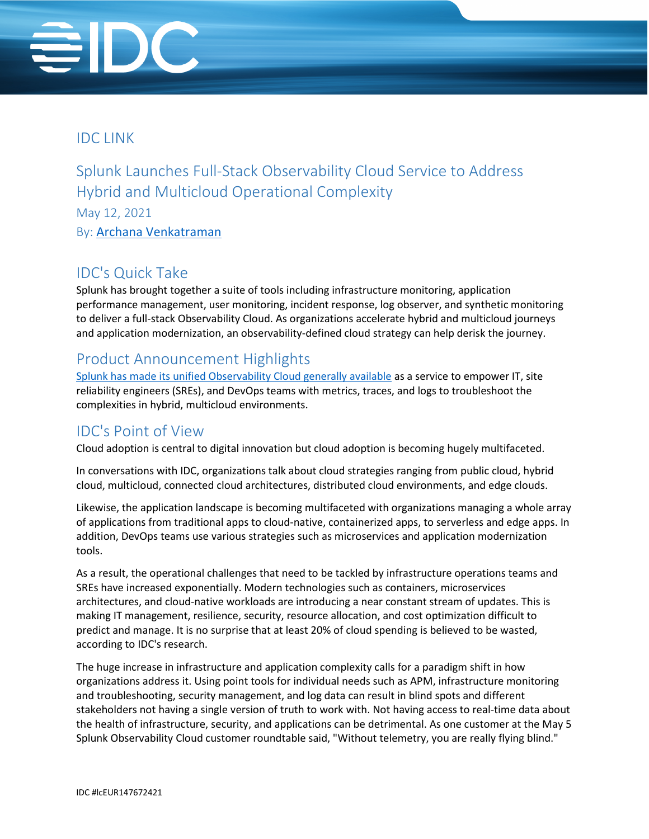

## IDC LINK

Splunk Launches Full-Stack Observability Cloud Service to Address Hybrid and Multicloud Operational Complexity May 12, 2021 By: [Archana Venkatraman](http://www.idc.com/getdoc.jsp?containerId=PRF004425)

# IDC's Quick Take

Splunk has brought together a suite of tools including infrastructure monitoring, application performance management, user monitoring, incident response, log observer, and synthetic monitoring to deliver a full-stack Observability Cloud. As organizations accelerate hybrid and multicloud journeys and application modernization, an observability-defined cloud strategy can help derisk the journey.

# Product Announcement Highlights

[Splunk has made its unified Observability Cloud](https://www.splunk.com/en_us/newsroom/press-releases/2021/splunk-launches-new-observability-cloud.html) generally available as a service to empower IT, site reliability engineers (SREs), and DevOps teams with metrics, traces, and logs to troubleshoot the complexities in hybrid, multicloud environments.

### IDC's Point of View

Cloud adoption is central to digital innovation but cloud adoption is becoming hugely multifaceted.

In conversations with IDC, organizations talk about cloud strategies ranging from public cloud, hybrid cloud, multicloud, connected cloud architectures, distributed cloud environments, and edge clouds.

Likewise, the application landscape is becoming multifaceted with organizations managing a whole array of applications from traditional apps to cloud-native, containerized apps, to serverless and edge apps. In addition, DevOps teams use various strategies such as microservices and application modernization tools.

As a result, the operational challenges that need to be tackled by infrastructure operations teams and SREs have increased exponentially. Modern technologies such as containers, microservices architectures, and cloud-native workloads are introducing a near constant stream of updates. This is making IT management, resilience, security, resource allocation, and cost optimization difficult to predict and manage. It is no surprise that at least 20% of cloud spending is believed to be wasted, according to IDC's research.

The huge increase in infrastructure and application complexity calls for a paradigm shift in how organizations address it. Using point tools for individual needs such as APM, infrastructure monitoring and troubleshooting, security management, and log data can result in blind spots and different stakeholders not having a single version of truth to work with. Not having access to real-time data about the health of infrastructure, security, and applications can be detrimental. As one customer at the May 5 Splunk Observability Cloud customer roundtable said, "Without telemetry, you are really flying blind."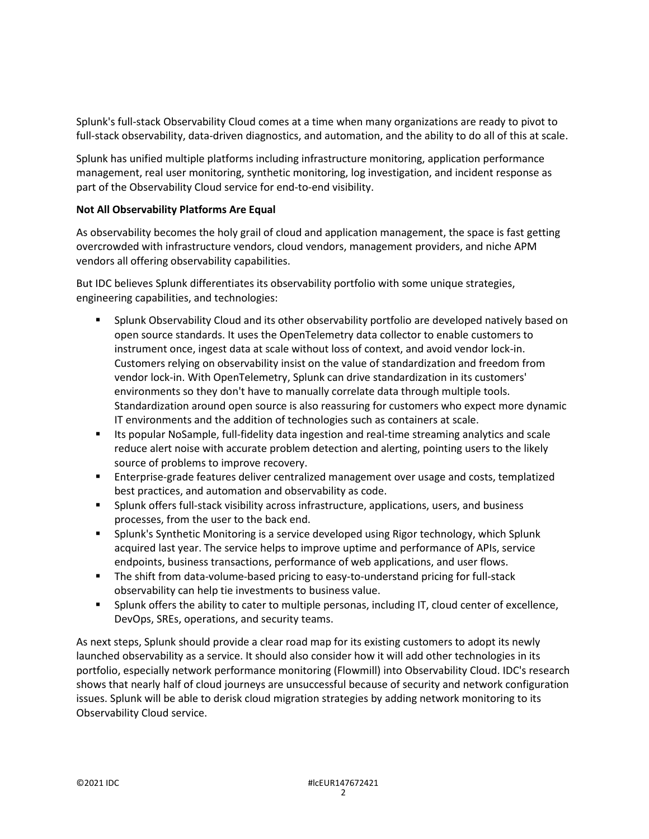Splunk's full-stack Observability Cloud comes at a time when many organizations are ready to pivot to full-stack observability, data-driven diagnostics, and automation, and the ability to do all of this at scale.

Splunk has unified multiple platforms including infrastructure monitoring, application performance management, real user monitoring, synthetic monitoring, log investigation, and incident response as part of the Observability Cloud service for end-to-end visibility.

#### **Not All Observability Platforms Are Equal**

As observability becomes the holy grail of cloud and application management, the space is fast getting overcrowded with infrastructure vendors, cloud vendors, management providers, and niche APM vendors all offering observability capabilities.

But IDC believes Splunk differentiates its observability portfolio with some unique strategies, engineering capabilities, and technologies:

- **Splunk Observability Cloud and its other observability portfolio are developed natively based on** open source standards. It uses the OpenTelemetry data collector to enable customers to instrument once, ingest data at scale without loss of context, and avoid vendor lock-in. Customers relying on observability insist on the value of standardization and freedom from vendor lock-in. With OpenTelemetry, Splunk can drive standardization in its customers' environments so they don't have to manually correlate data through multiple tools. Standardization around open source is also reassuring for customers who expect more dynamic IT environments and the addition of technologies such as containers at scale.
- **If the popular NoSample, full-fidelity data ingestion and real-time streaming analytics and scale** reduce alert noise with accurate problem detection and alerting, pointing users to the likely source of problems to improve recovery.
- Enterprise-grade features deliver centralized management over usage and costs, templatized best practices, and automation and observability as code.
- Splunk offers full-stack visibility across infrastructure, applications, users, and business processes, from the user to the back end.
- **Splunk's Synthetic Monitoring is a service developed using Rigor technology, which Splunk** acquired last year. The service helps to improve uptime and performance of APIs, service endpoints, business transactions, performance of web applications, and user flows.
- The shift from data-volume-based pricing to easy-to-understand pricing for full-stack observability can help tie investments to business value.
- **Splunk offers the ability to cater to multiple personas, including IT, cloud center of excellence,** DevOps, SREs, operations, and security teams.

As next steps, Splunk should provide a clear road map for its existing customers to adopt its newly launched observability as a service. It should also consider how it will add other technologies in its portfolio, especially network performance monitoring (Flowmill) into Observability Cloud. IDC's research shows that nearly half of cloud journeys are unsuccessful because of security and network configuration issues. Splunk will be able to derisk cloud migration strategies by adding network monitoring to its Observability Cloud service.